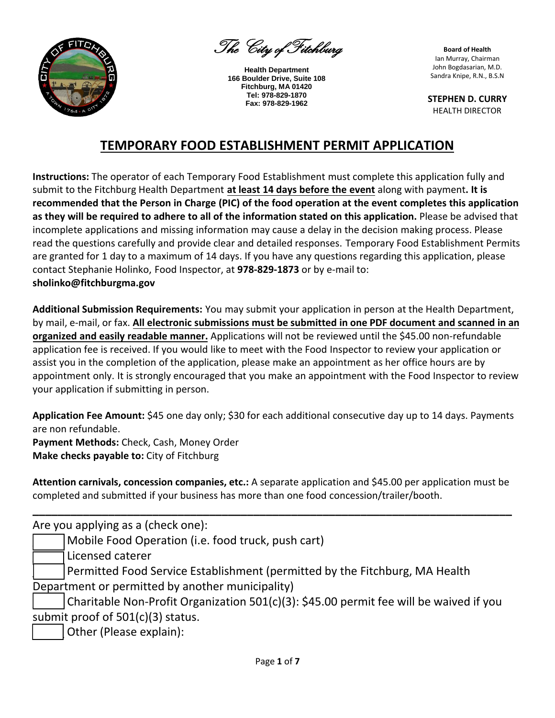

The City of Fitchburg

**Health Department 166 Boulder Drive, Suite 108 Fitchburg, MA 01420 Tel: 978-829-1870 Fax: 978-829-1962**

**Board of Health** Ian Murray, Chairman John Bogdasarian, M.D. Sandra Knipe, R.N., B.S.N

**STEPHEN D. CURRY** HEALTH DIRECTOR

## **TEMPORARY FOOD ESTABLISHMENT PERMIT APPLICATION**

**Instructions:** The operator of each Temporary Food Establishment must complete this application fully and submit to the Fitchburg Health Department **at least 14 days before the event** along with payment**. It is recommended that the Person in Charge (PIC) of the food operation at the event completes this application as they will be required to adhere to all of the information stated on this application.** Please be advised that incomplete applications and missing information may cause a delay in the decision making process. Please read the questions carefully and provide clear and detailed responses. Temporary Food Establishment Permits are granted for 1 day to a maximum of 14 days. If you have any questions regarding this application, please contact Stephanie Holinko, Food Inspector, at **978-829-1873** or by e-mail to: **sholinko@fitchburgma.gov**

**Additional Submission Requirements:** You may submit your application in person at the Health Department, by mail, e-mail, or fax. **All electronic submissions must be submitted in one PDF document and scanned in an organized and easily readable manner.** Applications will not be reviewed until the \$45.00 non-refundable application fee is received. If you would like to meet with the Food Inspector to review your application or assist you in the completion of the application, please make an appointment as her office hours are by appointment only. It is strongly encouraged that you make an appointment with the Food Inspector to review your application if submitting in person.

**Application Fee Amount:** \$45 one day only; \$30 for each additional consecutive day up to 14 days. Payments are non refundable.

**Payment Methods:** Check, Cash, Money Order **Make checks payable to:** City of Fitchburg

**Attention carnivals, concession companies, etc.:** A separate application and \$45.00 per application must be completed and submitted if your business has more than one food concession/trailer/booth.

**\_\_\_\_\_\_\_\_\_\_\_\_\_\_\_\_\_\_\_\_\_\_\_\_\_\_\_\_\_\_\_\_\_\_\_\_\_\_\_\_\_\_\_\_\_\_\_\_\_\_\_\_\_\_\_\_\_\_\_\_\_\_\_\_\_\_\_\_\_\_\_\_\_\_\_\_**

Are you applying as a (check one):

Mobile Food Operation (i.e. food truck, push cart)

\_\_\_\_\_ Licensed caterer

Permitted Food Service Establishment (permitted by the Fitchburg, MA Health Department or permitted by another municipality)

Charitable Non-Profit Organization 501(c)(3): \$45.00 permit fee will be waived if you submit proof of 501(c)(3) status.

Other (Please explain):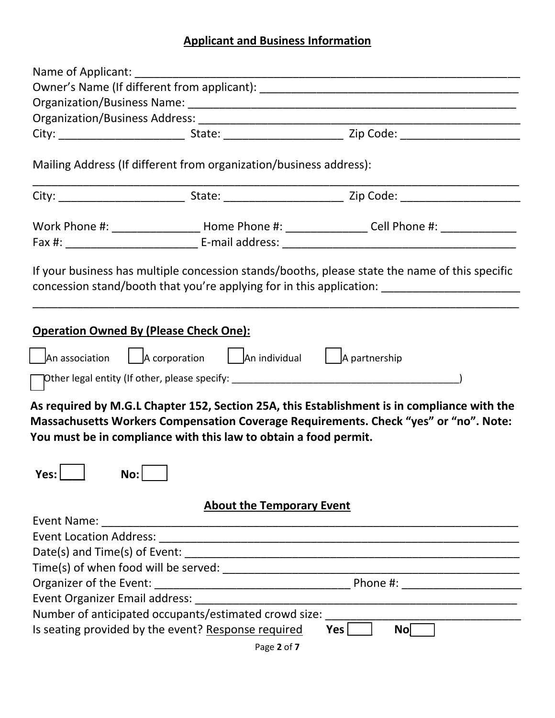# **Applicant and Business Information**

| Name of Applicant:                                    |                                                                                                                                              |                                                                                                                                                                                     |  |  |
|-------------------------------------------------------|----------------------------------------------------------------------------------------------------------------------------------------------|-------------------------------------------------------------------------------------------------------------------------------------------------------------------------------------|--|--|
|                                                       |                                                                                                                                              |                                                                                                                                                                                     |  |  |
|                                                       |                                                                                                                                              |                                                                                                                                                                                     |  |  |
|                                                       |                                                                                                                                              |                                                                                                                                                                                     |  |  |
|                                                       |                                                                                                                                              |                                                                                                                                                                                     |  |  |
|                                                       | Mailing Address (If different from organization/business address):                                                                           |                                                                                                                                                                                     |  |  |
|                                                       |                                                                                                                                              |                                                                                                                                                                                     |  |  |
|                                                       |                                                                                                                                              | Work Phone #: __________________________ Home Phone #: ____________________Cell Phone #: ________________                                                                           |  |  |
|                                                       |                                                                                                                                              |                                                                                                                                                                                     |  |  |
| <b>Operation Owned By (Please Check One):</b>         |                                                                                                                                              |                                                                                                                                                                                     |  |  |
|                                                       | An association $\begin{array}{ c c c c c }\n\hline\n\end{array}$ An individual $\begin{array}{ c c c c }\n\hline\n\end{array}$ A partnership |                                                                                                                                                                                     |  |  |
|                                                       |                                                                                                                                              |                                                                                                                                                                                     |  |  |
|                                                       | You must be in compliance with this law to obtain a food permit.                                                                             | As required by M.G.L Chapter 152, Section 25A, this Establishment is in compliance with the<br>Massachusetts Workers Compensation Coverage Requirements. Check "yes" or "no". Note: |  |  |
|                                                       | <b>About the Temporary Event</b>                                                                                                             |                                                                                                                                                                                     |  |  |
|                                                       |                                                                                                                                              |                                                                                                                                                                                     |  |  |
|                                                       |                                                                                                                                              |                                                                                                                                                                                     |  |  |
|                                                       |                                                                                                                                              |                                                                                                                                                                                     |  |  |
|                                                       |                                                                                                                                              |                                                                                                                                                                                     |  |  |
|                                                       |                                                                                                                                              |                                                                                                                                                                                     |  |  |
|                                                       |                                                                                                                                              |                                                                                                                                                                                     |  |  |
| Number of anticipated occupants/estimated crowd size: |                                                                                                                                              |                                                                                                                                                                                     |  |  |
|                                                       | Is seating provided by the event? Response required                                                                                          | No<br>Yes                                                                                                                                                                           |  |  |

Page **2** of **7**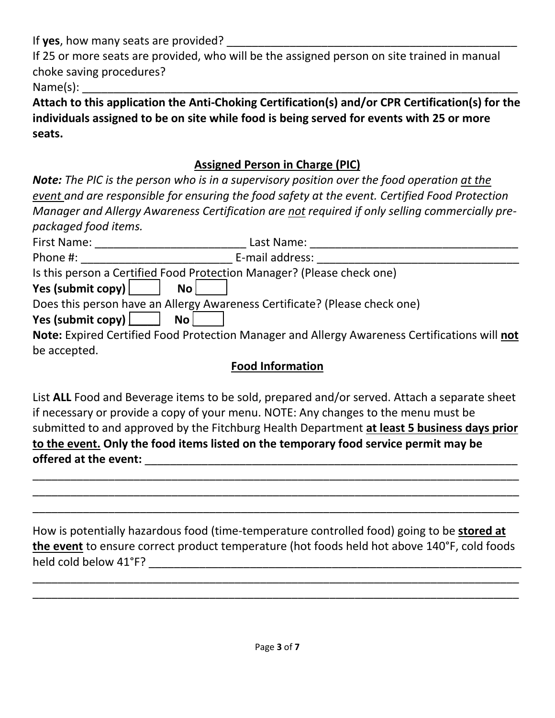If **yes**, how many seats are provided?

If 25 or more seats are provided, who will be the assigned person on site trained in manual choke saving procedures?

 $Name(s):$ 

**Attach to this application the Anti-Choking Certification(s) and/or CPR Certification(s) for the individuals assigned to be on site while food is being served for events with 25 or more seats.** 

## **Assigned Person in Charge (PIC)**

*Note: The PIC is the person who is in a supervisory position over the food operation at the event and are responsible for ensuring the food safety at the event. Certified Food Protection Manager and Allergy Awareness Certification are not required if only selling commercially prepackaged food items.* 

| First Name:                 | Last Name:                                                                                           |  |
|-----------------------------|------------------------------------------------------------------------------------------------------|--|
| Phone #:                    | E-mail address:                                                                                      |  |
|                             | Is this person a Certified Food Protection Manager? (Please check one)                               |  |
| Yes (submit copy)           | No l                                                                                                 |  |
|                             | Does this person have an Allergy Awareness Certificate? (Please check one)                           |  |
| Yes (submit copy) $\lfloor$ | No <sub>1</sub>                                                                                      |  |
|                             | <b>Note:</b> Expired Certified Food Protection Manager and Allergy Awareness Certifications will not |  |
| be accepted.                |                                                                                                      |  |

## **Food Information**

List **ALL** Food and Beverage items to be sold, prepared and/or served. Attach a separate sheet if necessary or provide a copy of your menu. NOTE: Any changes to the menu must be submitted to and approved by the Fitchburg Health Department **at least 5 business days prior to the event. Only the food items listed on the temporary food service permit may be offered at the event:** \_\_\_\_\_\_\_\_\_\_\_\_\_\_\_\_\_\_\_\_\_\_\_\_\_\_\_\_\_\_\_\_\_\_\_\_\_\_\_\_\_\_\_\_\_\_\_\_\_\_\_\_\_\_\_\_\_\_\_

\_\_\_\_\_\_\_\_\_\_\_\_\_\_\_\_\_\_\_\_\_\_\_\_\_\_\_\_\_\_\_\_\_\_\_\_\_\_\_\_\_\_\_\_\_\_\_\_\_\_\_\_\_\_\_\_\_\_\_\_\_\_\_\_\_\_\_\_\_\_\_\_\_\_\_\_\_ \_\_\_\_\_\_\_\_\_\_\_\_\_\_\_\_\_\_\_\_\_\_\_\_\_\_\_\_\_\_\_\_\_\_\_\_\_\_\_\_\_\_\_\_\_\_\_\_\_\_\_\_\_\_\_\_\_\_\_\_\_\_\_\_\_\_\_\_\_\_\_\_\_\_\_\_\_ \_\_\_\_\_\_\_\_\_\_\_\_\_\_\_\_\_\_\_\_\_\_\_\_\_\_\_\_\_\_\_\_\_\_\_\_\_\_\_\_\_\_\_\_\_\_\_\_\_\_\_\_\_\_\_\_\_\_\_\_\_\_\_\_\_\_\_\_\_\_\_\_\_\_\_\_\_

How is potentially hazardous food (time-temperature controlled food) going to be **stored at the event** to ensure correct product temperature (hot foods held hot above 140°F, cold foods held cold below 41°F? \_\_\_\_\_\_\_\_\_\_\_\_\_\_\_\_\_\_\_\_\_\_\_\_\_\_\_\_\_\_\_\_\_\_\_\_\_\_\_\_\_\_\_\_\_\_\_\_\_\_\_\_\_\_\_\_\_\_\_

\_\_\_\_\_\_\_\_\_\_\_\_\_\_\_\_\_\_\_\_\_\_\_\_\_\_\_\_\_\_\_\_\_\_\_\_\_\_\_\_\_\_\_\_\_\_\_\_\_\_\_\_\_\_\_\_\_\_\_\_\_\_\_\_\_\_\_\_\_\_\_\_\_\_\_\_\_ \_\_\_\_\_\_\_\_\_\_\_\_\_\_\_\_\_\_\_\_\_\_\_\_\_\_\_\_\_\_\_\_\_\_\_\_\_\_\_\_\_\_\_\_\_\_\_\_\_\_\_\_\_\_\_\_\_\_\_\_\_\_\_\_\_\_\_\_\_\_\_\_\_\_\_\_\_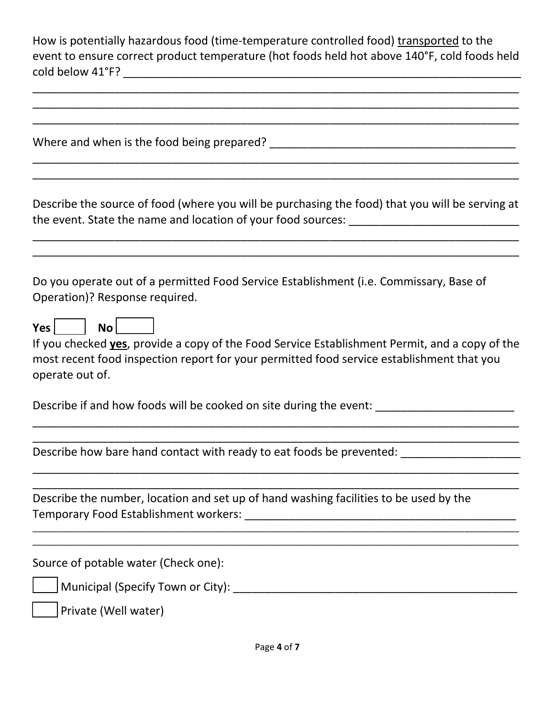How is potentially hazardous food (time-temperature controlled food) transported to the event to ensure correct product temperature (hot foods held hot above 140°F, cold foods held cold below 41°F?

| Describe the source of food (where you will be purchasing the food) that you will be serving at<br>the event. State the name and location of your food sources: __________________________                                                               |
|----------------------------------------------------------------------------------------------------------------------------------------------------------------------------------------------------------------------------------------------------------|
| Do you operate out of a permitted Food Service Establishment (i.e. Commissary, Base of<br>Operation)? Response required.                                                                                                                                 |
| Yes $\vert$<br>No <sub>1</sub><br>If you checked <b>yes</b> , provide a copy of the Food Service Establishment Permit, and a copy of the<br>most recent food inspection report for your permitted food service establishment that you<br>operate out of. |
| Describe if and how foods will be cooked on site during the event: ______________                                                                                                                                                                        |
| Describe how bare hand contact with ready to eat foods be prevented:                                                                                                                                                                                     |
| Describe the number, location and set up of hand washing facilities to be used by the                                                                                                                                                                    |
| Source of potable water (Check one):                                                                                                                                                                                                                     |
|                                                                                                                                                                                                                                                          |
| Private (Well water)                                                                                                                                                                                                                                     |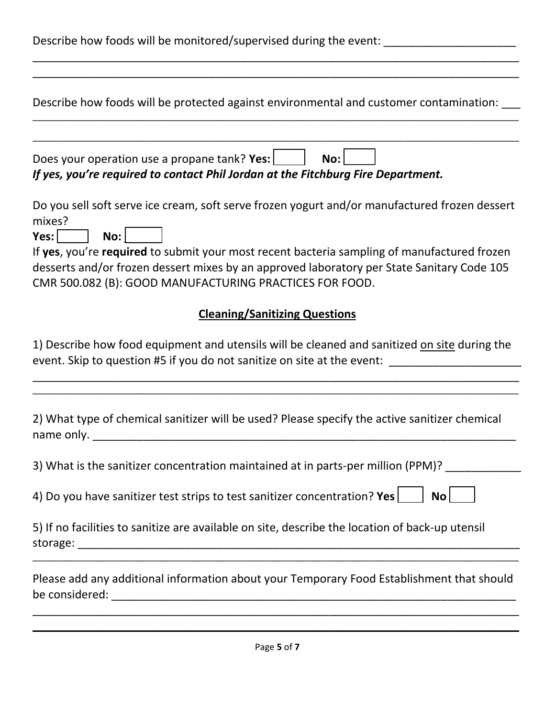| Describe how foods will be monitored/supervised during the event: ______________                                                                                                                                                                                                                                                                                                   |  |  |
|------------------------------------------------------------------------------------------------------------------------------------------------------------------------------------------------------------------------------------------------------------------------------------------------------------------------------------------------------------------------------------|--|--|
| Describe how foods will be protected against environmental and customer contamination:                                                                                                                                                                                                                                                                                             |  |  |
| Does your operation use a propane tank? Yes:<br>No:<br>If yes, you're required to contact Phil Jordan at the Fitchburg Fire Department.                                                                                                                                                                                                                                            |  |  |
| Do you sell soft serve ice cream, soft serve frozen yogurt and/or manufactured frozen dessert<br>mixes?<br>$Yes:$  <br>No:<br>If yes, you're required to submit your most recent bacteria sampling of manufactured frozen<br>desserts and/or frozen dessert mixes by an approved laboratory per State Sanitary Code 105<br>CMR 500.082 (B): GOOD MANUFACTURING PRACTICES FOR FOOD. |  |  |
| <b>Cleaning/Sanitizing Questions</b><br>1) Describe how food equipment and utensils will be cleaned and sanitized on site during the                                                                                                                                                                                                                                               |  |  |
| event. Skip to question #5 if you do not sanitize on site at the event: ___________________________                                                                                                                                                                                                                                                                                |  |  |
| 2) What type of chemical sanitizer will be used? Please specify the active sanitizer chemical<br>name only.                                                                                                                                                                                                                                                                        |  |  |
| 3) What is the sanitizer concentration maintained at in parts-per million (PPM)?                                                                                                                                                                                                                                                                                                   |  |  |
| 4) Do you have sanitizer test strips to test sanitizer concentration? Yes $\Box$<br>No l                                                                                                                                                                                                                                                                                           |  |  |
| 5) If no facilities to sanitize are available on site, describe the location of back-up utensil                                                                                                                                                                                                                                                                                    |  |  |
| Please add any additional information about your Temporary Food Establishment that should                                                                                                                                                                                                                                                                                          |  |  |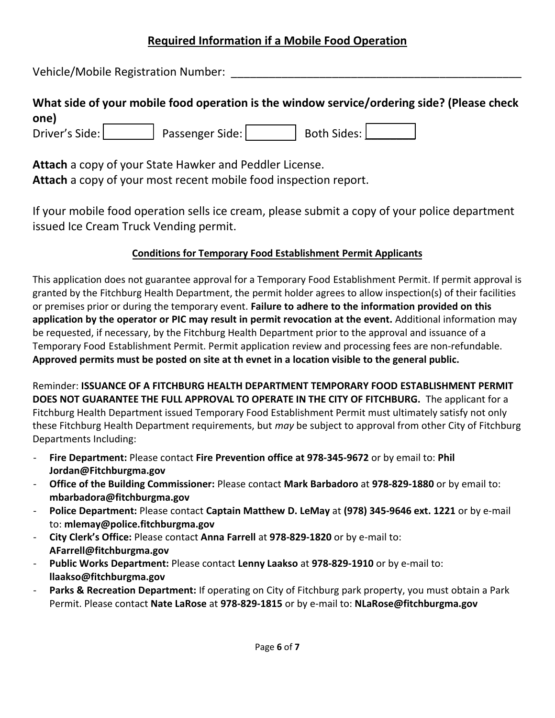#### **Required Information if a Mobile Food Operation**

Vehicle/Mobile Registration Number:

### **What side of your mobile food operation is the window service/ordering side? (Please check one)**

Driver's Side:  $\vert$  Passenger Side:  $\vert$  Both Sides:  $\vert$ 

**Attach** a copy of your State Hawker and Peddler License. **Attach** a copy of your most recent mobile food inspection report.

If your mobile food operation sells ice cream, please submit a copy of your police department issued Ice Cream Truck Vending permit.

#### **Conditions for Temporary Food Establishment Permit Applicants**

This application does not guarantee approval for a Temporary Food Establishment Permit. If permit approval is granted by the Fitchburg Health Department, the permit holder agrees to allow inspection(s) of their facilities or premises prior or during the temporary event. **Failure to adhere to the information provided on this application by the operator or PIC may result in permit revocation at the event.** Additional information may be requested, if necessary, by the Fitchburg Health Department prior to the approval and issuance of a Temporary Food Establishment Permit. Permit application review and processing fees are non-refundable. **Approved permits must be posted on site at th evnet in a location visible to the general public.** 

Reminder: **ISSUANCE OF A FITCHBURG HEALTH DEPARTMENT TEMPORARY FOOD ESTABLISHMENT PERMIT DOES NOT GUARANTEE THE FULL APPROVAL TO OPERATE IN THE CITY OF FITCHBURG.** The applicant for a Fitchburg Health Department issued Temporary Food Establishment Permit must ultimately satisfy not only these Fitchburg Health Department requirements, but *may* be subject to approval from other City of Fitchburg Departments Including:

- **[Fire Department:](mailto:pjordan@fitchburgma.gov)** Please contact **Fire Prevention office at 978-345-9672** or by email to: **Phil Jordan@Fitchburgma.gov**
- **Office of the Building Commissioner:** Please contact **Mark Barbadoro** at **978-829-1880** or by email to: **mbarbadora@fitchburgma.gov**
- **Police Department:** Please contact **Captain Matthew D. LeMay** at **(978) 34[5-9646 ext. 1221](mailto:AFarrell@fitchburgma.gov)** or by e-mail to: **mlemay@police.fitchburgma.gov**
- **City Clerk's Office:** Please contact **Anna Farrell** at **978-829-1820** or by e-mail to: **AFarrell@fitchburgma.gov**
- **Public Works Department:** Please contact **Lenny Laakso** at **978-829-1910** or by e-mail to: **llaakso@fitchburgma.gov**
- Parks & Recreation Department: If operating on City of Fitchburg park property, you must obtain a Park Permit. Please contact **Nate LaRose** at **978-829-1815** or by e-mail to: **NLaRose@fitchburgma.gov**